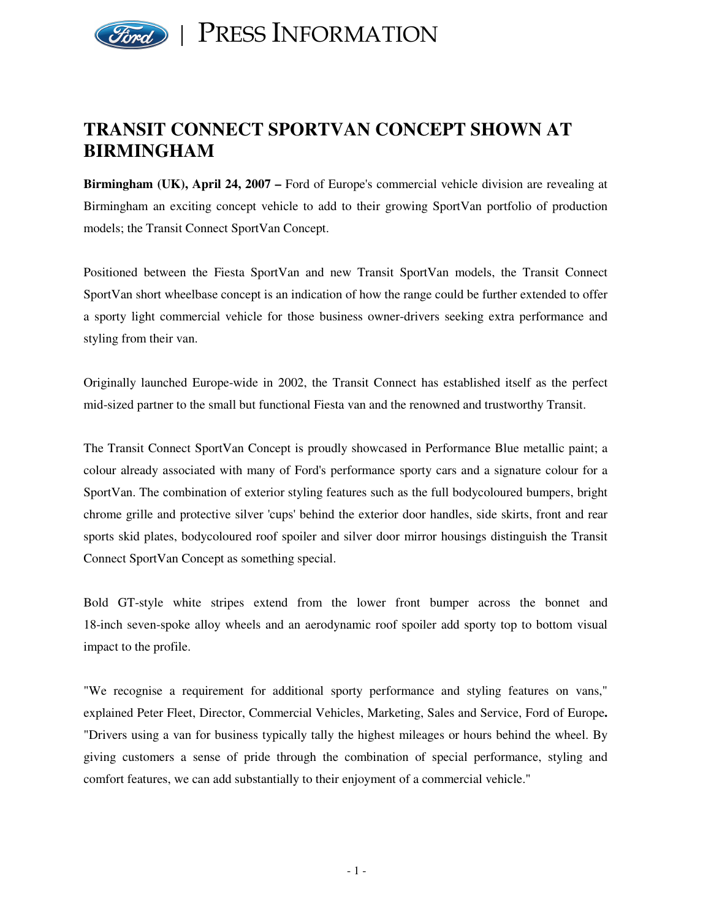

## **TRANSIT CONNECT SPORTVAN CONCEPT SHOWN AT BIRMINGHAM**

**Birmingham (UK), April 24, 2007 –** Ford of Europe's commercial vehicle division are revealing at Birmingham an exciting concept vehicle to add to their growing SportVan portfolio of production models; the Transit Connect SportVan Concept.

Positioned between the Fiesta SportVan and new Transit SportVan models, the Transit Connect SportVan short wheelbase concept is an indication of how the range could be further extended to offer a sporty light commercial vehicle for those business owner-drivers seeking extra performance and styling from their van.

Originally launched Europe-wide in 2002, the Transit Connect has established itself as the perfect mid-sized partner to the small but functional Fiesta van and the renowned and trustworthy Transit.

The Transit Connect SportVan Concept is proudly showcased in Performance Blue metallic paint; a colour already associated with many of Ford's performance sporty cars and a signature colour for a SportVan. The combination of exterior styling features such as the full bodycoloured bumpers, bright chrome grille and protective silver 'cups' behind the exterior door handles, side skirts, front and rear sports skid plates, bodycoloured roof spoiler and silver door mirror housings distinguish the Transit Connect SportVan Concept as something special.

Bold GT-style white stripes extend from the lower front bumper across the bonnet and 18-inch seven-spoke alloy wheels and an aerodynamic roof spoiler add sporty top to bottom visual impact to the profile.

"We recognise a requirement for additional sporty performance and styling features on vans," explained Peter Fleet, Director, Commercial Vehicles, Marketing, Sales and Service, Ford of Europe**.** "Drivers using a van for business typically tally the highest mileages or hours behind the wheel. By giving customers a sense of pride through the combination of special performance, styling and comfort features, we can add substantially to their enjoyment of a commercial vehicle."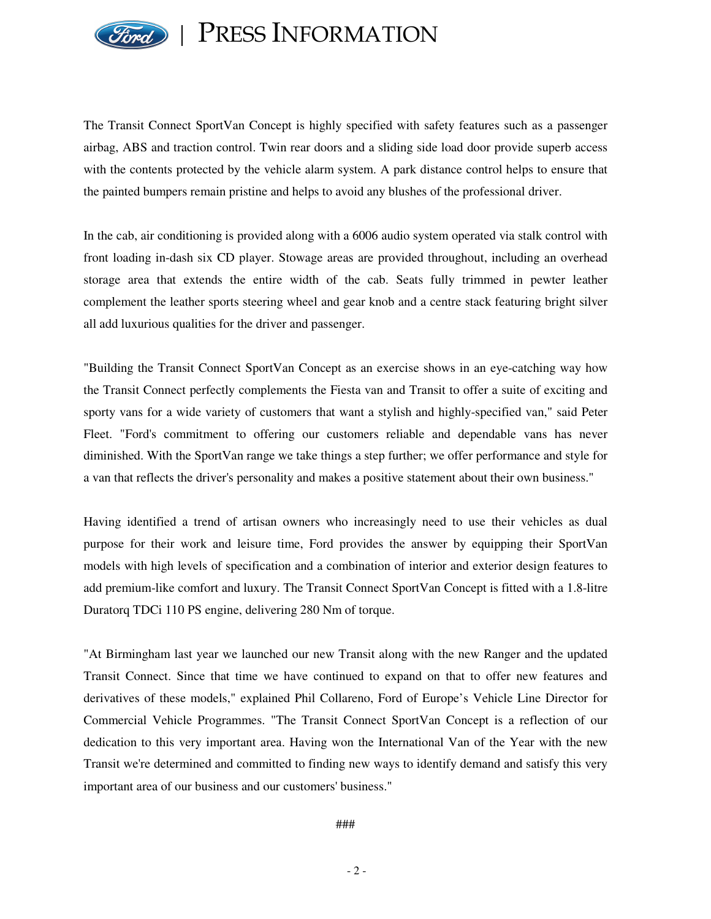

PRESS INFORMATION

The Transit Connect SportVan Concept is highly specified with safety features such as a passenger airbag, ABS and traction control. Twin rear doors and a sliding side load door provide superb access with the contents protected by the vehicle alarm system. A park distance control helps to ensure that the painted bumpers remain pristine and helps to avoid any blushes of the professional driver.

In the cab, air conditioning is provided along with a 6006 audio system operated via stalk control with front loading in-dash six CD player. Stowage areas are provided throughout, including an overhead storage area that extends the entire width of the cab. Seats fully trimmed in pewter leather complement the leather sports steering wheel and gear knob and a centre stack featuring bright silver all add luxurious qualities for the driver and passenger.

"Building the Transit Connect SportVan Concept as an exercise shows in an eye-catching way how the Transit Connect perfectly complements the Fiesta van and Transit to offer a suite of exciting and sporty vans for a wide variety of customers that want a stylish and highly-specified van," said Peter Fleet. "Ford's commitment to offering our customers reliable and dependable vans has never diminished. With the SportVan range we take things a step further; we offer performance and style for a van that reflects the driver's personality and makes a positive statement about their own business."

Having identified a trend of artisan owners who increasingly need to use their vehicles as dual purpose for their work and leisure time, Ford provides the answer by equipping their SportVan models with high levels of specification and a combination of interior and exterior design features to add premium-like comfort and luxury. The Transit Connect SportVan Concept is fitted with a 1.8-litre Duratorq TDCi 110 PS engine, delivering 280 Nm of torque.

"At Birmingham last year we launched our new Transit along with the new Ranger and the updated Transit Connect. Since that time we have continued to expand on that to offer new features and derivatives of these models," explained Phil Collareno, Ford of Europe's Vehicle Line Director for Commercial Vehicle Programmes. "The Transit Connect SportVan Concept is a reflection of our dedication to this very important area. Having won the International Van of the Year with the new Transit we're determined and committed to finding new ways to identify demand and satisfy this very important area of our business and our customers' business."